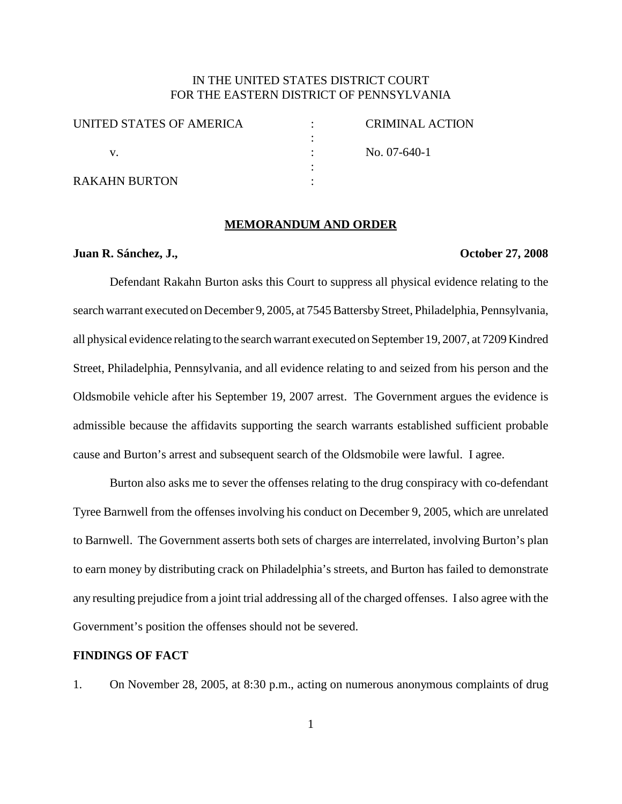# IN THE UNITED STATES DISTRICT COURT FOR THE EASTERN DISTRICT OF PENNSYLVANIA

| UNITED STATES OF AMERICA | CRIMINAL ACTION |
|--------------------------|-----------------|
|                          | No. $07-640-1$  |
|                          |                 |
| <b>RAKAHN BURTON</b>     |                 |

### **MEMORANDUM AND ORDER**

### **Juan R. Sánchez, J., October 27, 2008**

Defendant Rakahn Burton asks this Court to suppress all physical evidence relating to the search warrant executed on December 9, 2005, at 7545 Battersby Street, Philadelphia, Pennsylvania, all physical evidence relating to the search warrant executed on September 19, 2007, at 7209 Kindred Street, Philadelphia, Pennsylvania, and all evidence relating to and seized from his person and the Oldsmobile vehicle after his September 19, 2007 arrest. The Government argues the evidence is admissible because the affidavits supporting the search warrants established sufficient probable cause and Burton's arrest and subsequent search of the Oldsmobile were lawful. I agree.

Burton also asks me to sever the offenses relating to the drug conspiracy with co-defendant Tyree Barnwell from the offenses involving his conduct on December 9, 2005, which are unrelated to Barnwell. The Government asserts both sets of charges are interrelated, involving Burton's plan to earn money by distributing crack on Philadelphia's streets, and Burton has failed to demonstrate any resulting prejudice from a joint trial addressing all of the charged offenses. I also agree with the Government's position the offenses should not be severed.

## **FINDINGS OF FACT**

1. On November 28, 2005, at 8:30 p.m., acting on numerous anonymous complaints of drug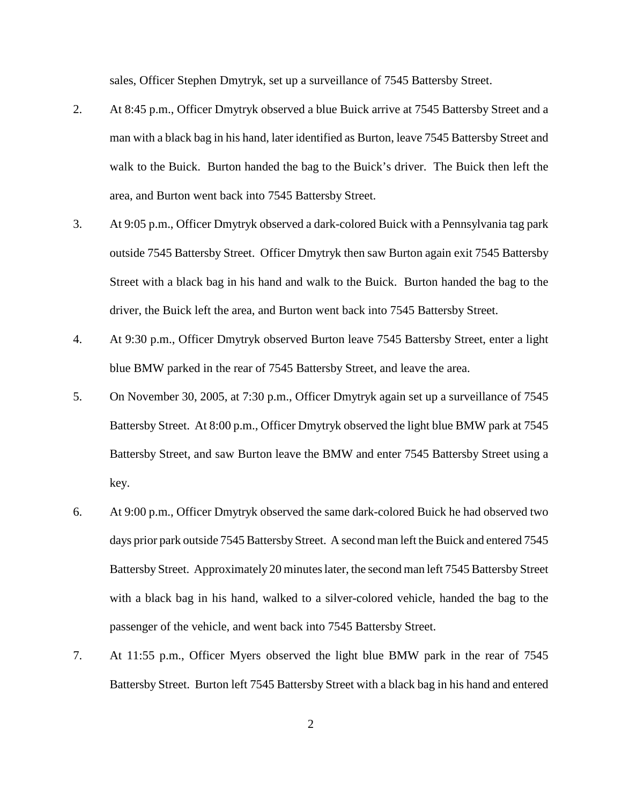sales, Officer Stephen Dmytryk, set up a surveillance of 7545 Battersby Street.

- 2. At 8:45 p.m., Officer Dmytryk observed a blue Buick arrive at 7545 Battersby Street and a man with a black bag in his hand, later identified as Burton, leave 7545 Battersby Street and walk to the Buick. Burton handed the bag to the Buick's driver. The Buick then left the area, and Burton went back into 7545 Battersby Street.
- 3. At 9:05 p.m., Officer Dmytryk observed a dark-colored Buick with a Pennsylvania tag park outside 7545 Battersby Street. Officer Dmytryk then saw Burton again exit 7545 Battersby Street with a black bag in his hand and walk to the Buick. Burton handed the bag to the driver, the Buick left the area, and Burton went back into 7545 Battersby Street.
- 4. At 9:30 p.m., Officer Dmytryk observed Burton leave 7545 Battersby Street, enter a light blue BMW parked in the rear of 7545 Battersby Street, and leave the area.
- 5. On November 30, 2005, at 7:30 p.m., Officer Dmytryk again set up a surveillance of 7545 Battersby Street. At 8:00 p.m., Officer Dmytryk observed the light blue BMW park at 7545 Battersby Street, and saw Burton leave the BMW and enter 7545 Battersby Street using a key.
- 6. At 9:00 p.m., Officer Dmytryk observed the same dark-colored Buick he had observed two days prior park outside 7545 Battersby Street. A second man left the Buick and entered 7545 Battersby Street. Approximately 20 minutes later, the second man left 7545 Battersby Street with a black bag in his hand, walked to a silver-colored vehicle, handed the bag to the passenger of the vehicle, and went back into 7545 Battersby Street.
- 7. At 11:55 p.m., Officer Myers observed the light blue BMW park in the rear of 7545 Battersby Street. Burton left 7545 Battersby Street with a black bag in his hand and entered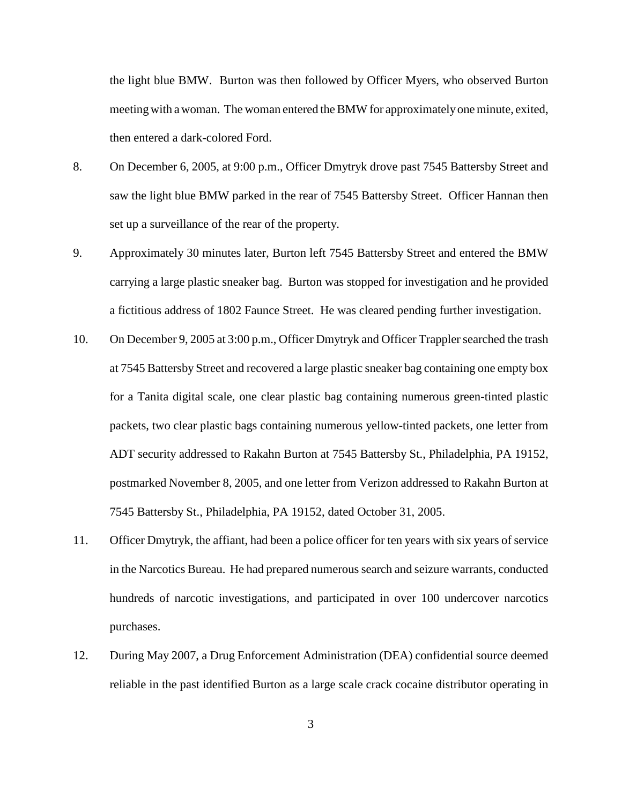the light blue BMW. Burton was then followed by Officer Myers, who observed Burton meeting with a woman. The woman entered the BMW for approximately one minute, exited, then entered a dark-colored Ford.

- 8. On December 6, 2005, at 9:00 p.m., Officer Dmytryk drove past 7545 Battersby Street and saw the light blue BMW parked in the rear of 7545 Battersby Street. Officer Hannan then set up a surveillance of the rear of the property.
- 9. Approximately 30 minutes later, Burton left 7545 Battersby Street and entered the BMW carrying a large plastic sneaker bag. Burton was stopped for investigation and he provided a fictitious address of 1802 Faunce Street. He was cleared pending further investigation.
- 10. On December 9, 2005 at 3:00 p.m., Officer Dmytryk and Officer Trappler searched the trash at 7545 Battersby Street and recovered a large plastic sneaker bag containing one empty box for a Tanita digital scale, one clear plastic bag containing numerous green-tinted plastic packets, two clear plastic bags containing numerous yellow-tinted packets, one letter from ADT security addressed to Rakahn Burton at 7545 Battersby St., Philadelphia, PA 19152, postmarked November 8, 2005, and one letter from Verizon addressed to Rakahn Burton at 7545 Battersby St., Philadelphia, PA 19152, dated October 31, 2005.
- 11. Officer Dmytryk, the affiant, had been a police officer for ten years with six years of service in the Narcotics Bureau. He had prepared numerous search and seizure warrants, conducted hundreds of narcotic investigations, and participated in over 100 undercover narcotics purchases.
- 12. During May 2007, a Drug Enforcement Administration (DEA) confidential source deemed reliable in the past identified Burton as a large scale crack cocaine distributor operating in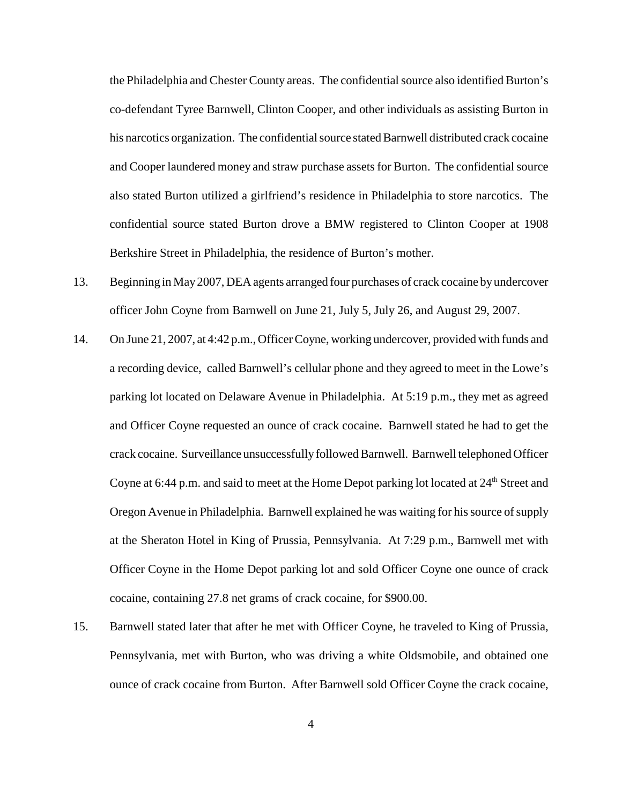the Philadelphia and Chester County areas. The confidential source also identified Burton's co-defendant Tyree Barnwell, Clinton Cooper, and other individuals as assisting Burton in his narcotics organization. The confidential source stated Barnwell distributed crack cocaine and Cooper laundered money and straw purchase assets for Burton. The confidential source also stated Burton utilized a girlfriend's residence in Philadelphia to store narcotics. The confidential source stated Burton drove a BMW registered to Clinton Cooper at 1908 Berkshire Street in Philadelphia, the residence of Burton's mother.

- 13. Beginning in May2007, DEA agents arranged four purchases of crack cocaine byundercover officer John Coyne from Barnwell on June 21, July 5, July 26, and August 29, 2007.
- 14. On June 21, 2007, at 4:42 p.m., OfficerCoyne, working undercover, provided with funds and a recording device, called Barnwell's cellular phone and they agreed to meet in the Lowe's parking lot located on Delaware Avenue in Philadelphia. At 5:19 p.m., they met as agreed and Officer Coyne requested an ounce of crack cocaine. Barnwell stated he had to get the crack cocaine. Surveillance unsuccessfully followed Barnwell. Barnwell telephoned Officer Coyne at 6:44 p.m. and said to meet at the Home Depot parking lot located at  $24<sup>th</sup>$  Street and Oregon Avenue in Philadelphia. Barnwell explained he was waiting for his source of supply at the Sheraton Hotel in King of Prussia, Pennsylvania. At 7:29 p.m., Barnwell met with Officer Coyne in the Home Depot parking lot and sold Officer Coyne one ounce of crack cocaine, containing 27.8 net grams of crack cocaine, for \$900.00.
- 15. Barnwell stated later that after he met with Officer Coyne, he traveled to King of Prussia, Pennsylvania, met with Burton, who was driving a white Oldsmobile, and obtained one ounce of crack cocaine from Burton. After Barnwell sold Officer Coyne the crack cocaine,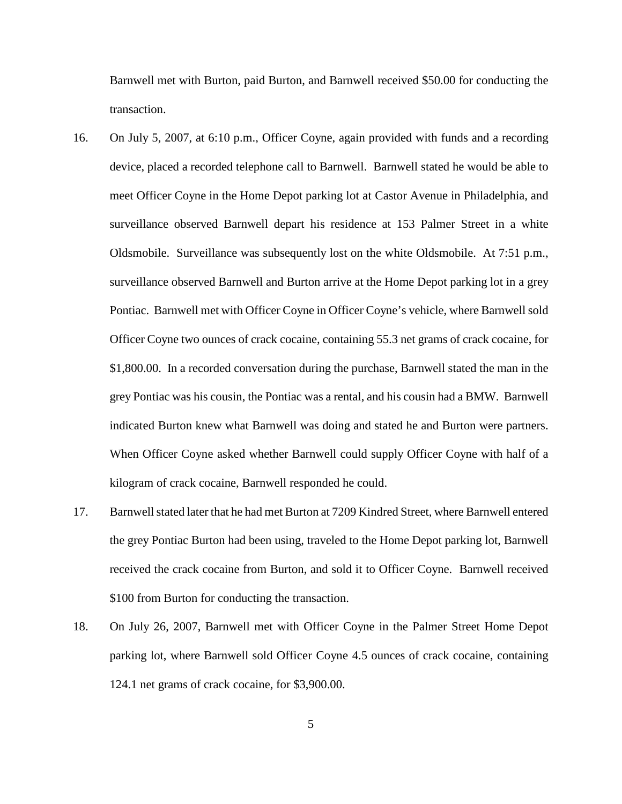Barnwell met with Burton, paid Burton, and Barnwell received \$50.00 for conducting the transaction.

- 16. On July 5, 2007, at 6:10 p.m., Officer Coyne, again provided with funds and a recording device, placed a recorded telephone call to Barnwell. Barnwell stated he would be able to meet Officer Coyne in the Home Depot parking lot at Castor Avenue in Philadelphia, and surveillance observed Barnwell depart his residence at 153 Palmer Street in a white Oldsmobile. Surveillance was subsequently lost on the white Oldsmobile. At 7:51 p.m., surveillance observed Barnwell and Burton arrive at the Home Depot parking lot in a grey Pontiac. Barnwell met with Officer Coyne in Officer Coyne's vehicle, where Barnwellsold Officer Coyne two ounces of crack cocaine, containing 55.3 net grams of crack cocaine, for \$1,800.00. In a recorded conversation during the purchase, Barnwell stated the man in the grey Pontiac was his cousin, the Pontiac was a rental, and his cousin had a BMW. Barnwell indicated Burton knew what Barnwell was doing and stated he and Burton were partners. When Officer Coyne asked whether Barnwell could supply Officer Coyne with half of a kilogram of crack cocaine, Barnwell responded he could.
- 17. Barnwell stated later that he had met Burton at 7209 Kindred Street, where Barnwell entered the grey Pontiac Burton had been using, traveled to the Home Depot parking lot, Barnwell received the crack cocaine from Burton, and sold it to Officer Coyne. Barnwell received \$100 from Burton for conducting the transaction.
- 18. On July 26, 2007, Barnwell met with Officer Coyne in the Palmer Street Home Depot parking lot, where Barnwell sold Officer Coyne 4.5 ounces of crack cocaine, containing 124.1 net grams of crack cocaine, for \$3,900.00.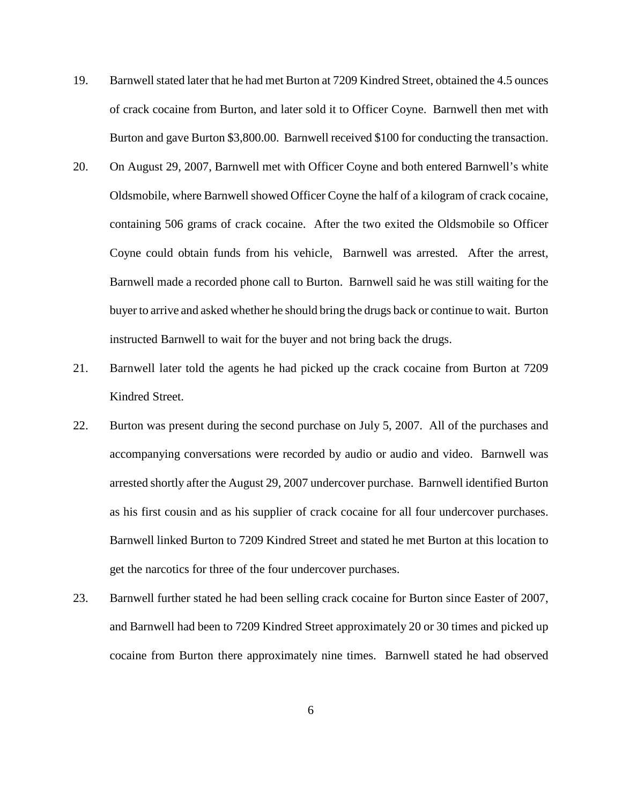- 19. Barnwellstated later that he had met Burton at 7209 Kindred Street, obtained the 4.5 ounces of crack cocaine from Burton, and later sold it to Officer Coyne. Barnwell then met with Burton and gave Burton \$3,800.00. Barnwell received \$100 for conducting the transaction.
- 20. On August 29, 2007, Barnwell met with Officer Coyne and both entered Barnwell's white Oldsmobile, where Barnwell showed Officer Coyne the half of a kilogram of crack cocaine, containing 506 grams of crack cocaine. After the two exited the Oldsmobile so Officer Coyne could obtain funds from his vehicle, Barnwell was arrested. After the arrest, Barnwell made a recorded phone call to Burton. Barnwell said he was still waiting for the buyer to arrive and asked whether he should bring the drugs back or continue to wait. Burton instructed Barnwell to wait for the buyer and not bring back the drugs.
- 21. Barnwell later told the agents he had picked up the crack cocaine from Burton at 7209 Kindred Street.
- 22. Burton was present during the second purchase on July 5, 2007. All of the purchases and accompanying conversations were recorded by audio or audio and video. Barnwell was arrested shortly after the August 29, 2007 undercover purchase. Barnwell identified Burton as his first cousin and as his supplier of crack cocaine for all four undercover purchases. Barnwell linked Burton to 7209 Kindred Street and stated he met Burton at this location to get the narcotics for three of the four undercover purchases.
- 23. Barnwell further stated he had been selling crack cocaine for Burton since Easter of 2007, and Barnwell had been to 7209 Kindred Street approximately 20 or 30 times and picked up cocaine from Burton there approximately nine times. Barnwell stated he had observed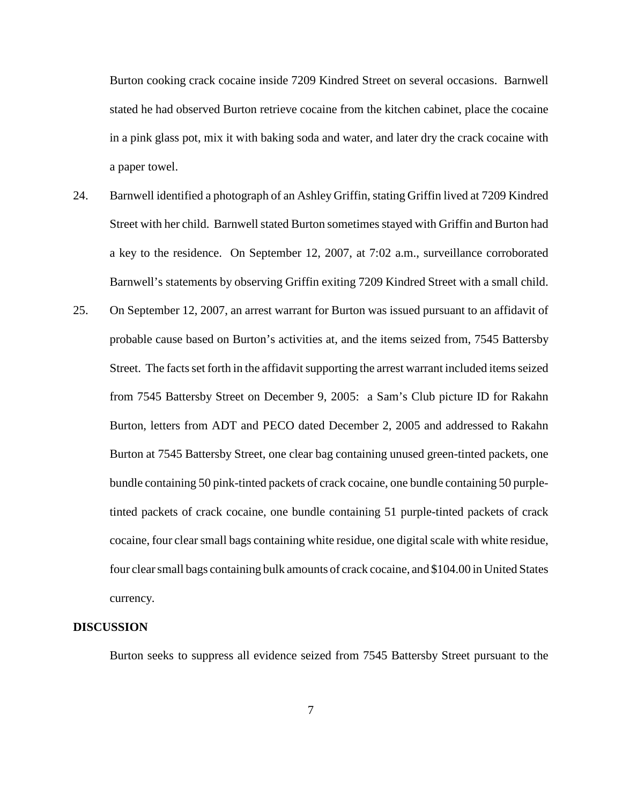Burton cooking crack cocaine inside 7209 Kindred Street on several occasions. Barnwell stated he had observed Burton retrieve cocaine from the kitchen cabinet, place the cocaine in a pink glass pot, mix it with baking soda and water, and later dry the crack cocaine with a paper towel.

- 24. Barnwell identified a photograph of an Ashley Griffin, stating Griffin lived at 7209 Kindred Street with her child. Barnwell stated Burton sometimes stayed with Griffin and Burton had a key to the residence. On September 12, 2007, at 7:02 a.m., surveillance corroborated Barnwell's statements by observing Griffin exiting 7209 Kindred Street with a small child.
- 25. On September 12, 2007, an arrest warrant for Burton was issued pursuant to an affidavit of probable cause based on Burton's activities at, and the items seized from, 7545 Battersby Street. The facts set forth in the affidavit supporting the arrest warrant included items seized from 7545 Battersby Street on December 9, 2005: a Sam's Club picture ID for Rakahn Burton, letters from ADT and PECO dated December 2, 2005 and addressed to Rakahn Burton at 7545 Battersby Street, one clear bag containing unused green-tinted packets, one bundle containing 50 pink-tinted packets of crack cocaine, one bundle containing 50 purpletinted packets of crack cocaine, one bundle containing 51 purple-tinted packets of crack cocaine, four clearsmall bags containing white residue, one digitalscale with white residue, four clear small bags containing bulk amounts of crack cocaine, and \$104.00 in United States currency.

### **DISCUSSION**

Burton seeks to suppress all evidence seized from 7545 Battersby Street pursuant to the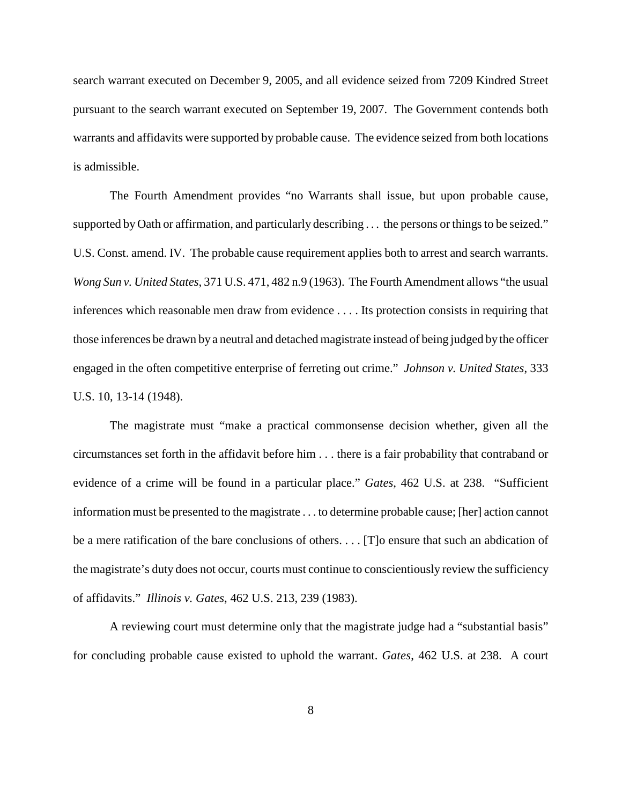search warrant executed on December 9, 2005, and all evidence seized from 7209 Kindred Street pursuant to the search warrant executed on September 19, 2007. The Government contends both warrants and affidavits were supported by probable cause. The evidence seized from both locations is admissible.

The Fourth Amendment provides "no Warrants shall issue, but upon probable cause, supported by Oath or affirmation, and particularly describing ... the persons or things to be seized." U.S. Const. amend. IV. The probable cause requirement applies both to arrest and search warrants. *Wong Sun v. United States*, 371 U.S. 471, 482 n.9 (1963). The Fourth Amendment allows "the usual inferences which reasonable men draw from evidence . . . . Its protection consists in requiring that those inferences be drawn by a neutral and detached magistrate instead of being judged by the officer engaged in the often competitive enterprise of ferreting out crime." *Johnson v. United States*, 333 U.S. 10, 13-14 (1948).

The magistrate must "make a practical commonsense decision whether, given all the circumstances set forth in the affidavit before him . . . there is a fair probability that contraband or evidence of a crime will be found in a particular place." *Gates*, 462 U.S. at 238. "Sufficient information must be presented to the magistrate . . . to determine probable cause; [her] action cannot be a mere ratification of the bare conclusions of others. . . . [T]o ensure that such an abdication of the magistrate's duty does not occur, courts must continue to conscientiously review the sufficiency of affidavits." *Illinois v. Gates*, 462 U.S. 213, 239 (1983).

A reviewing court must determine only that the magistrate judge had a "substantial basis" for concluding probable cause existed to uphold the warrant. *Gates*, 462 U.S. at 238. A court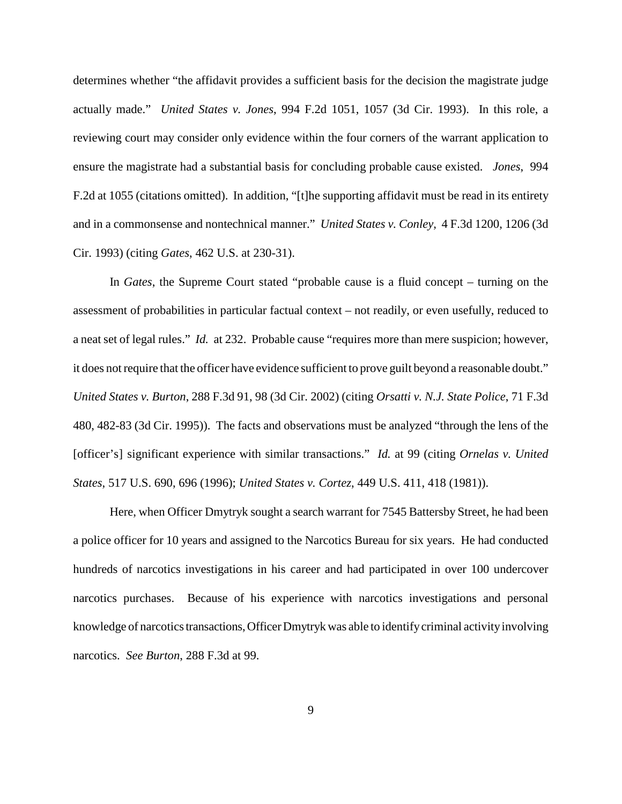determines whether "the affidavit provides a sufficient basis for the decision the magistrate judge actually made." *United States v. Jones*, 994 F.2d 1051, 1057 (3d Cir. 1993). In this role, a reviewing court may consider only evidence within the four corners of the warrant application to ensure the magistrate had a substantial basis for concluding probable cause existed. *Jones*, 994 F.2d at 1055 (citations omitted). In addition, "[t]he supporting affidavit must be read in its entirety and in a commonsense and nontechnical manner." *United States v. Conley*, 4 F.3d 1200, 1206 (3d Cir. 1993) (citing *Gates*, 462 U.S. at 230-31).

In *Gates*, the Supreme Court stated "probable cause is a fluid concept – turning on the assessment of probabilities in particular factual context – not readily, or even usefully, reduced to a neat set of legal rules." *Id.* at 232. Probable cause "requires more than mere suspicion; however, it does not require that the officer have evidence sufficient to prove guilt beyond a reasonable doubt." *United States v. Burton*, 288 F.3d 91, 98 (3d Cir. 2002) (citing *Orsatti v. N.J. State Police*, 71 F.3d 480, 482-83 (3d Cir. 1995)). The facts and observations must be analyzed "through the lens of the [officer's] significant experience with similar transactions." *Id.* at 99 (citing *Ornelas v. United States*, 517 U.S. 690, 696 (1996); *United States v. Cortez*, 449 U.S. 411, 418 (1981)).

Here, when Officer Dmytryk sought a search warrant for 7545 Battersby Street, he had been a police officer for 10 years and assigned to the Narcotics Bureau for six years. He had conducted hundreds of narcotics investigations in his career and had participated in over 100 undercover narcotics purchases. Because of his experience with narcotics investigations and personal knowledge of narcotics transactions, Officer Dmytryk was able to identify criminal activity involving narcotics. *See Burton*, 288 F.3d at 99.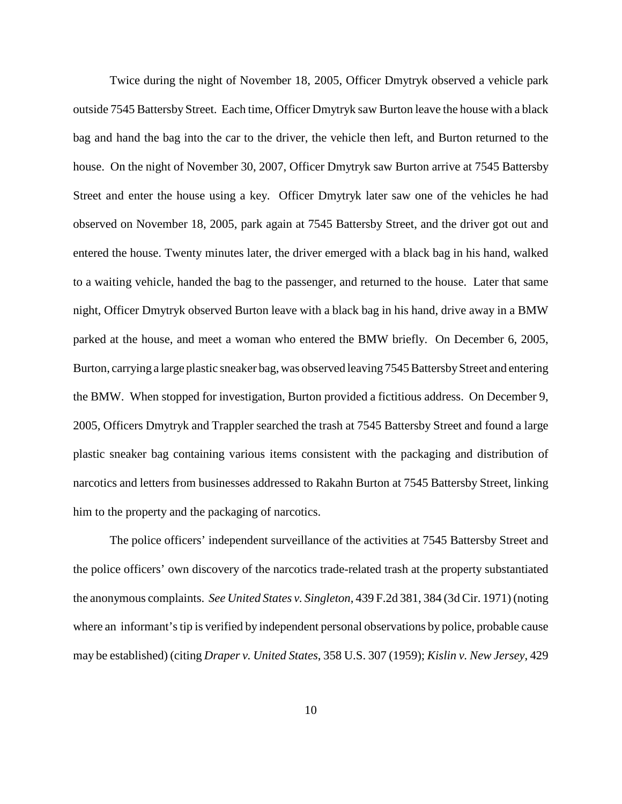Twice during the night of November 18, 2005, Officer Dmytryk observed a vehicle park outside 7545 Battersby Street. Each time, Officer Dmytryk saw Burton leave the house with a black bag and hand the bag into the car to the driver, the vehicle then left, and Burton returned to the house. On the night of November 30, 2007, Officer Dmytryk saw Burton arrive at 7545 Battersby Street and enter the house using a key. Officer Dmytryk later saw one of the vehicles he had observed on November 18, 2005, park again at 7545 Battersby Street, and the driver got out and entered the house. Twenty minutes later, the driver emerged with a black bag in his hand, walked to a waiting vehicle, handed the bag to the passenger, and returned to the house. Later that same night, Officer Dmytryk observed Burton leave with a black bag in his hand, drive away in a BMW parked at the house, and meet a woman who entered the BMW briefly. On December 6, 2005, Burton, carrying a large plastic sneaker bag, was observed leaving 7545 Battersby Street and entering the BMW. When stopped for investigation, Burton provided a fictitious address. On December 9, 2005, Officers Dmytryk and Trappler searched the trash at 7545 Battersby Street and found a large plastic sneaker bag containing various items consistent with the packaging and distribution of narcotics and letters from businesses addressed to Rakahn Burton at 7545 Battersby Street, linking him to the property and the packaging of narcotics.

The police officers' independent surveillance of the activities at 7545 Battersby Street and the police officers' own discovery of the narcotics trade-related trash at the property substantiated the anonymous complaints. *See United States v. Singleton*, 439 F.2d 381, 384 (3d Cir. 1971) (noting where an informant's tip is verified by independent personal observations by police, probable cause may be established) (citing *Draper v. United States*, 358 U.S. 307 (1959); *Kislin v. New Jersey*, 429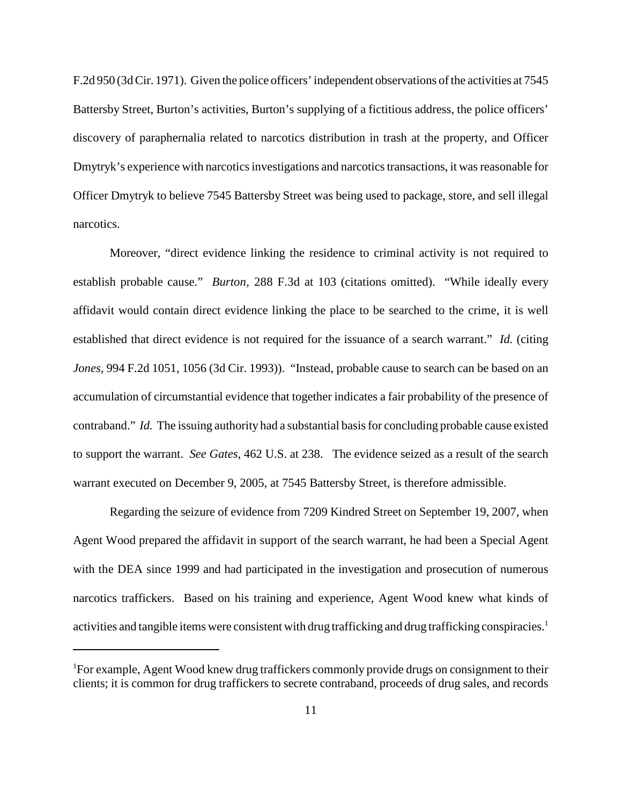F.2d 950 (3d Cir. 1971). Given the police officers' independent observations of the activities at 7545 Battersby Street, Burton's activities, Burton's supplying of a fictitious address, the police officers' discovery of paraphernalia related to narcotics distribution in trash at the property, and Officer Dmytryk's experience with narcotics investigations and narcotics transactions, it was reasonable for Officer Dmytryk to believe 7545 Battersby Street was being used to package, store, and sell illegal narcotics.

Moreover, "direct evidence linking the residence to criminal activity is not required to establish probable cause." *Burton*, 288 F.3d at 103 (citations omitted). "While ideally every affidavit would contain direct evidence linking the place to be searched to the crime, it is well established that direct evidence is not required for the issuance of a search warrant." *Id.* (citing *Jones,* 994 F.2d 1051, 1056 (3d Cir. 1993)). "Instead, probable cause to search can be based on an accumulation of circumstantial evidence that together indicates a fair probability of the presence of contraband." *Id.* The issuing authority had a substantial basis for concluding probable cause existed to support the warrant. *See Gates*, 462 U.S. at 238. The evidence seized as a result of the search warrant executed on December 9, 2005, at 7545 Battersby Street, is therefore admissible.

Regarding the seizure of evidence from 7209 Kindred Street on September 19, 2007, when Agent Wood prepared the affidavit in support of the search warrant, he had been a Special Agent with the DEA since 1999 and had participated in the investigation and prosecution of numerous narcotics traffickers. Based on his training and experience, Agent Wood knew what kinds of activities and tangible items were consistent with drug trafficking and drug trafficking conspiracies. 1

<sup>&</sup>lt;sup>1</sup>For example, Agent Wood knew drug traffickers commonly provide drugs on consignment to their clients; it is common for drug traffickers to secrete contraband, proceeds of drug sales, and records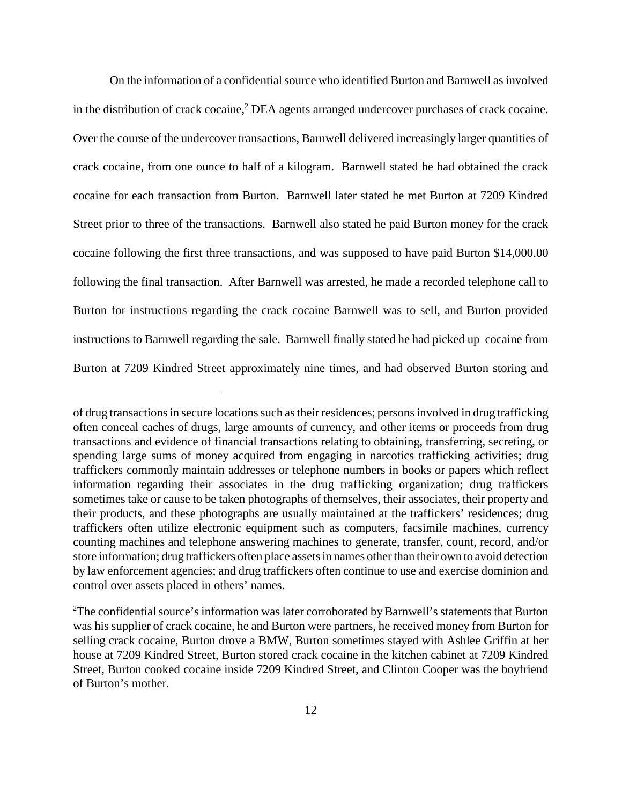On the information of a confidential source who identified Burton and Barnwell as involved in the distribution of crack cocaine, <sup>2</sup> DEA agents arranged undercover purchases of crack cocaine. Over the course of the undercover transactions, Barnwell delivered increasingly larger quantities of crack cocaine, from one ounce to half of a kilogram. Barnwell stated he had obtained the crack cocaine for each transaction from Burton. Barnwell later stated he met Burton at 7209 Kindred Street prior to three of the transactions. Barnwell also stated he paid Burton money for the crack cocaine following the first three transactions, and was supposed to have paid Burton \$14,000.00 following the final transaction. After Barnwell was arrested, he made a recorded telephone call to Burton for instructions regarding the crack cocaine Barnwell was to sell, and Burton provided instructions to Barnwell regarding the sale. Barnwell finally stated he had picked up cocaine from Burton at 7209 Kindred Street approximately nine times, and had observed Burton storing and

of drug transactions in secure locations such as their residences; persons involved in drug trafficking often conceal caches of drugs, large amounts of currency, and other items or proceeds from drug transactions and evidence of financial transactions relating to obtaining, transferring, secreting, or spending large sums of money acquired from engaging in narcotics trafficking activities; drug traffickers commonly maintain addresses or telephone numbers in books or papers which reflect information regarding their associates in the drug trafficking organization; drug traffickers sometimes take or cause to be taken photographs of themselves, their associates, their property and their products, and these photographs are usually maintained at the traffickers' residences; drug traffickers often utilize electronic equipment such as computers, facsimile machines, currency counting machines and telephone answering machines to generate, transfer, count, record, and/or store information; drug traffickers often place assets in names other than their own to avoid detection by law enforcement agencies; and drug traffickers often continue to use and exercise dominion and control over assets placed in others' names.

 $2$ The confidential source's information was later corroborated by Barnwell's statements that Burton was his supplier of crack cocaine, he and Burton were partners, he received money from Burton for selling crack cocaine, Burton drove a BMW, Burton sometimes stayed with Ashlee Griffin at her house at 7209 Kindred Street, Burton stored crack cocaine in the kitchen cabinet at 7209 Kindred Street, Burton cooked cocaine inside 7209 Kindred Street, and Clinton Cooper was the boyfriend of Burton's mother.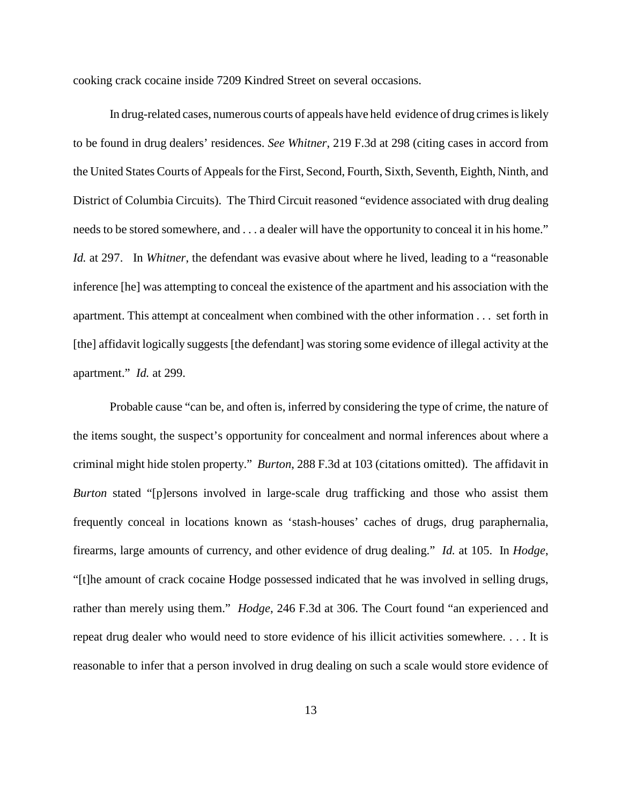cooking crack cocaine inside 7209 Kindred Street on several occasions.

In drug-related cases, numerous courts of appeals have held evidence of drug crimes is likely to be found in drug dealers' residences. *See Whitner*, 219 F.3d at 298 (citing cases in accord from the United States Courts of Appealsfor the First, Second, Fourth, Sixth, Seventh, Eighth, Ninth, and District of Columbia Circuits). The Third Circuit reasoned "evidence associated with drug dealing needs to be stored somewhere, and . . . a dealer will have the opportunity to conceal it in his home." *Id.* at 297. In *Whitner*, the defendant was evasive about where he lived, leading to a "reasonable inference [he] was attempting to conceal the existence of the apartment and his association with the apartment. This attempt at concealment when combined with the other information . . . set forth in [the] affidavit logically suggests [the defendant] was storing some evidence of illegal activity at the apartment." *Id.* at 299.

Probable cause "can be, and often is, inferred by considering the type of crime, the nature of the items sought, the suspect's opportunity for concealment and normal inferences about where a criminal might hide stolen property." *Burton*, 288 F.3d at 103 (citations omitted). The affidavit in *Burton* stated "[p]ersons involved in large-scale drug trafficking and those who assist them frequently conceal in locations known as 'stash-houses' caches of drugs, drug paraphernalia, firearms, large amounts of currency, and other evidence of drug dealing." *Id.* at 105. In *Hodge*, "[t]he amount of crack cocaine Hodge possessed indicated that he was involved in selling drugs, rather than merely using them." *Hodge*, 246 F.3d at 306. The Court found "an experienced and repeat drug dealer who would need to store evidence of his illicit activities somewhere. . . . It is reasonable to infer that a person involved in drug dealing on such a scale would store evidence of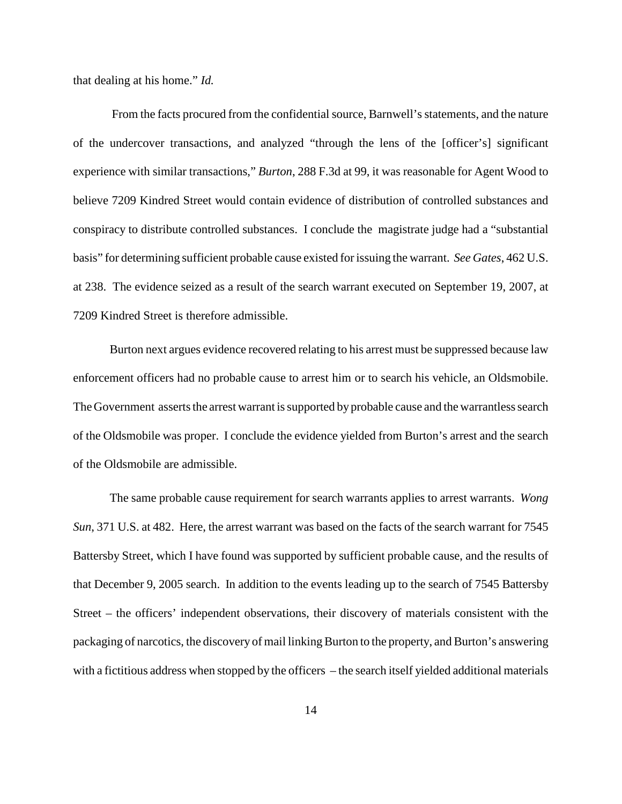that dealing at his home." *Id.*

From the facts procured from the confidential source, Barnwell's statements, and the nature of the undercover transactions, and analyzed "through the lens of the [officer's] significant experience with similar transactions," *Burton*, 288 F.3d at 99, it was reasonable for Agent Wood to believe 7209 Kindred Street would contain evidence of distribution of controlled substances and conspiracy to distribute controlled substances. I conclude the magistrate judge had a "substantial basis" for determining sufficient probable cause existed forissuing the warrant. *See Gates*, 462 U.S. at 238. The evidence seized as a result of the search warrant executed on September 19, 2007, at 7209 Kindred Street is therefore admissible.

Burton next argues evidence recovered relating to his arrest must be suppressed because law enforcement officers had no probable cause to arrest him or to search his vehicle, an Oldsmobile. The Government asserts the arrest warrant is supported by probable cause and the warrantless search of the Oldsmobile was proper. I conclude the evidence yielded from Burton's arrest and the search of the Oldsmobile are admissible.

The same probable cause requirement for search warrants applies to arrest warrants. *Wong Sun*, 371 U.S. at 482. Here, the arrest warrant was based on the facts of the search warrant for 7545 Battersby Street, which I have found was supported by sufficient probable cause, and the results of that December 9, 2005 search. In addition to the events leading up to the search of 7545 Battersby Street – the officers' independent observations, their discovery of materials consistent with the packaging of narcotics, the discovery of mail linking Burton to the property, and Burton's answering with a fictitious address when stopped by the officers – the search itself yielded additional materials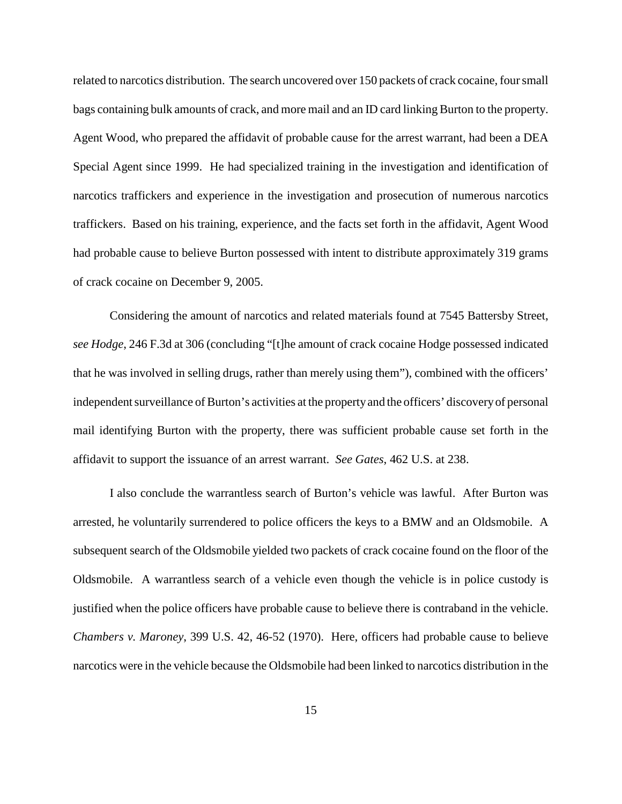related to narcotics distribution. The search uncovered over 150 packets of crack cocaine, four small bags containing bulk amounts of crack, and more mail and an ID card linking Burton to the property. Agent Wood, who prepared the affidavit of probable cause for the arrest warrant, had been a DEA Special Agent since 1999. He had specialized training in the investigation and identification of narcotics traffickers and experience in the investigation and prosecution of numerous narcotics traffickers. Based on his training, experience, and the facts set forth in the affidavit, Agent Wood had probable cause to believe Burton possessed with intent to distribute approximately 319 grams of crack cocaine on December 9, 2005.

Considering the amount of narcotics and related materials found at 7545 Battersby Street, *see Hodge*, 246 F.3d at 306 (concluding "[t]he amount of crack cocaine Hodge possessed indicated that he was involved in selling drugs, rather than merely using them"), combined with the officers' independent surveillance of Burton's activities at the property and the officers' discovery of personal mail identifying Burton with the property, there was sufficient probable cause set forth in the affidavit to support the issuance of an arrest warrant. *See Gates*, 462 U.S. at 238.

I also conclude the warrantless search of Burton's vehicle was lawful. After Burton was arrested, he voluntarily surrendered to police officers the keys to a BMW and an Oldsmobile. A subsequent search of the Oldsmobile yielded two packets of crack cocaine found on the floor of the Oldsmobile. A warrantless search of a vehicle even though the vehicle is in police custody is justified when the police officers have probable cause to believe there is contraband in the vehicle. *Chambers v. Maroney*, 399 U.S. 42, 46-52 (1970). Here, officers had probable cause to believe narcotics were in the vehicle because the Oldsmobile had been linked to narcotics distribution in the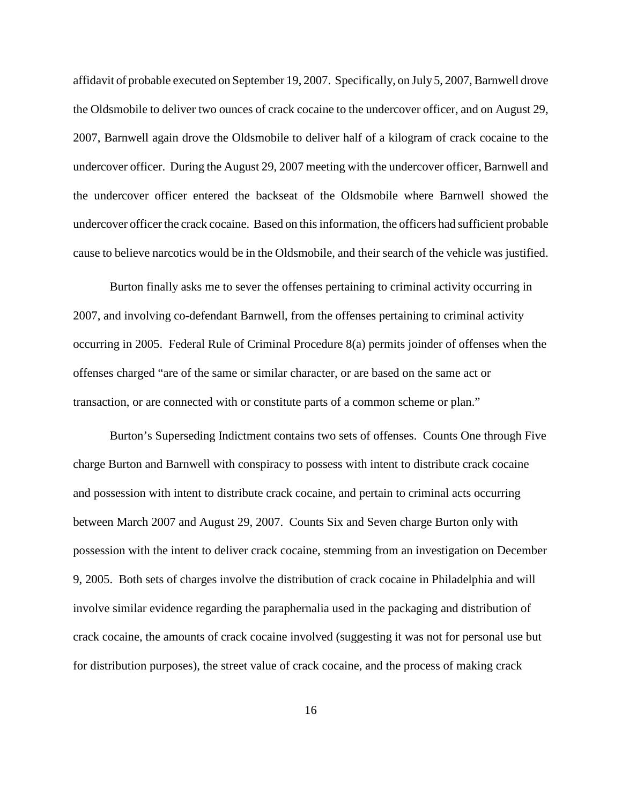affidavit of probable executed on September 19, 2007. Specifically, on July 5, 2007, Barnwell drove the Oldsmobile to deliver two ounces of crack cocaine to the undercover officer, and on August 29, 2007, Barnwell again drove the Oldsmobile to deliver half of a kilogram of crack cocaine to the undercover officer. During the August 29, 2007 meeting with the undercover officer, Barnwell and the undercover officer entered the backseat of the Oldsmobile where Barnwell showed the undercover officer the crack cocaine. Based on thisinformation, the officers had sufficient probable cause to believe narcotics would be in the Oldsmobile, and their search of the vehicle was justified.

Burton finally asks me to sever the offenses pertaining to criminal activity occurring in 2007, and involving co-defendant Barnwell, from the offenses pertaining to criminal activity occurring in 2005. Federal Rule of Criminal Procedure 8(a) permits joinder of offenses when the offenses charged "are of the same or similar character, or are based on the same act or transaction, or are connected with or constitute parts of a common scheme or plan."

Burton's Superseding Indictment contains two sets of offenses. Counts One through Five charge Burton and Barnwell with conspiracy to possess with intent to distribute crack cocaine and possession with intent to distribute crack cocaine, and pertain to criminal acts occurring between March 2007 and August 29, 2007. Counts Six and Seven charge Burton only with possession with the intent to deliver crack cocaine, stemming from an investigation on December 9, 2005. Both sets of charges involve the distribution of crack cocaine in Philadelphia and will involve similar evidence regarding the paraphernalia used in the packaging and distribution of crack cocaine, the amounts of crack cocaine involved (suggesting it was not for personal use but for distribution purposes), the street value of crack cocaine, and the process of making crack